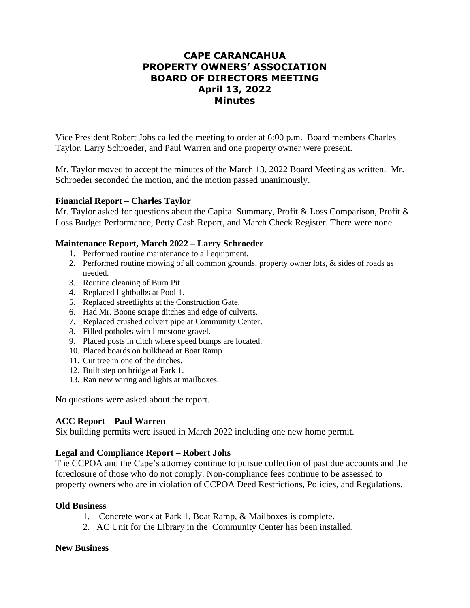# **CAPE CARANCAHUA PROPERTY OWNERS' ASSOCIATION BOARD OF DIRECTORS MEETING April 13, 2022 Minutes**

Vice President Robert Johs called the meeting to order at 6:00 p.m. Board members Charles Taylor, Larry Schroeder, and Paul Warren and one property owner were present.

Mr. Taylor moved to accept the minutes of the March 13, 2022 Board Meeting as written. Mr. Schroeder seconded the motion, and the motion passed unanimously.

### **Financial Report – Charles Taylor**

Mr. Taylor asked for questions about the Capital Summary, Profit & Loss Comparison, Profit & Loss Budget Performance, Petty Cash Report, and March Check Register. There were none.

### **Maintenance Report, March 2022 – Larry Schroeder**

- 1. Performed routine maintenance to all equipment.
- 2. Performed routine mowing of all common grounds, property owner lots, & sides of roads as needed.
- 3. Routine cleaning of Burn Pit.
- 4. Replaced lightbulbs at Pool 1.
- 5. Replaced streetlights at the Construction Gate.
- 6. Had Mr. Boone scrape ditches and edge of culverts.
- 7. Replaced crushed culvert pipe at Community Center.
- 8. Filled potholes with limestone gravel.
- 9. Placed posts in ditch where speed bumps are located.
- 10. Placed boards on bulkhead at Boat Ramp
- 11. Cut tree in one of the ditches.
- 12. Built step on bridge at Park 1.
- 13. Ran new wiring and lights at mailboxes.

No questions were asked about the report.

# **ACC Report – Paul Warren**

Six building permits were issued in March 2022 including one new home permit.

# **Legal and Compliance Report – Robert Johs**

The CCPOA and the Cape's attorney continue to pursue collection of past due accounts and the foreclosure of those who do not comply. Non-compliance fees continue to be assessed to property owners who are in violation of CCPOA Deed Restrictions, Policies, and Regulations.

#### **Old Business**

- 1. Concrete work at Park 1, Boat Ramp, & Mailboxes is complete.
- 2. AC Unit for the Library in the Community Center has been installed.

#### **New Business**